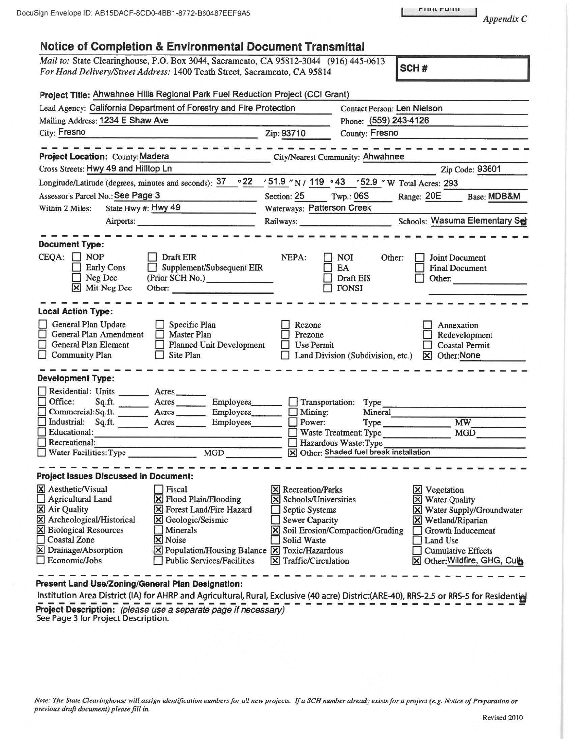*Appendix C* 

|  |  | <b>Notice of Completion &amp; Environmental Document Transmittal</b> |  |  |
|--|--|----------------------------------------------------------------------|--|--|
|--|--|----------------------------------------------------------------------|--|--|

Mail *to:* State Clearinghouse, P.O. Box 3044, Sacramento, CA 95812-3044 (916) 445-0613 *For Hand Delivery/Street Address:* 1400 Tenth Street, Sacramento, CA 95814 **SCH #** 

| Project Title: Ahwahnee Hills Regional Park Fuel Reduction Project (CCI Grant)                                                                                                                                                                                                                                                                                                                                                              |                                                                                                                                              |                                                                                                                                           |                                                                                                                                                                                              |
|---------------------------------------------------------------------------------------------------------------------------------------------------------------------------------------------------------------------------------------------------------------------------------------------------------------------------------------------------------------------------------------------------------------------------------------------|----------------------------------------------------------------------------------------------------------------------------------------------|-------------------------------------------------------------------------------------------------------------------------------------------|----------------------------------------------------------------------------------------------------------------------------------------------------------------------------------------------|
| Lead Agency: California Department of Forestry and Fire Protection                                                                                                                                                                                                                                                                                                                                                                          |                                                                                                                                              | <b>Contact Person: Len Nielson</b>                                                                                                        |                                                                                                                                                                                              |
| Mailing Address: 1234 E Shaw Ave                                                                                                                                                                                                                                                                                                                                                                                                            | Phone: (559) 243-4126                                                                                                                        |                                                                                                                                           |                                                                                                                                                                                              |
| City: Fresno<br><u> Alexandro San Alexandro (Alexandro Alexandro Alexandro Alexandro Alexandro Alexandro Alexandro Alexandro Alex</u>                                                                                                                                                                                                                                                                                                       | Zip: 93710<br>County: Fresno                                                                                                                 |                                                                                                                                           |                                                                                                                                                                                              |
| القواصر على على من القرار من المادة<br><b>Project Location: County: Madera</b><br><u>ng Brandiser</u>                                                                                                                                                                                                                                                                                                                                       |                                                                                                                                              | City/Nearest Community: Ahwahnee                                                                                                          |                                                                                                                                                                                              |
| Cross Streets: Hwy 49 and Hilltop Ln                                                                                                                                                                                                                                                                                                                                                                                                        |                                                                                                                                              |                                                                                                                                           | Zip Code: 93601                                                                                                                                                                              |
| Longitude/Latitude (degrees, minutes and seconds): $37 \cdot 22$ / 51.9 "N / 119 · 43 / 52.9 "W Total Acres: 293                                                                                                                                                                                                                                                                                                                            |                                                                                                                                              |                                                                                                                                           |                                                                                                                                                                                              |
| Assessor's Parcel No.: See Page 3                                                                                                                                                                                                                                                                                                                                                                                                           | Section: 25 Twp.: 06S                                                                                                                        |                                                                                                                                           | Range: 20E<br><b>Base: MDB&amp;M</b>                                                                                                                                                         |
| State Hwy #: Hwy 49<br>Within 2 Miles:                                                                                                                                                                                                                                                                                                                                                                                                      | Waterways: Patterson Creek                                                                                                                   |                                                                                                                                           |                                                                                                                                                                                              |
|                                                                                                                                                                                                                                                                                                                                                                                                                                             | Railways: Schools: Wasuma Elementary Set                                                                                                     |                                                                                                                                           |                                                                                                                                                                                              |
|                                                                                                                                                                                                                                                                                                                                                                                                                                             |                                                                                                                                              |                                                                                                                                           |                                                                                                                                                                                              |
| <b>Document Type:</b>                                                                                                                                                                                                                                                                                                                                                                                                                       |                                                                                                                                              |                                                                                                                                           |                                                                                                                                                                                              |
| $CEQA: \Box NP$<br>Draft EIR<br>Supplement/Subsequent EIR<br><b>Early Cons</b><br>$\Box$<br>$\Box$ Neg Dec<br>(Prior SCH No.)<br>X Mit Neg Dec<br>Other:                                                                                                                                                                                                                                                                                    | NEPA:                                                                                                                                        | <b>NOI</b><br>Other:<br>EA<br><b>Draft EIS</b><br>$\Box$ FONSI                                                                            | Joint Document<br><b>Final Document</b><br>Other:                                                                                                                                            |
| <b>Local Action Type:</b>                                                                                                                                                                                                                                                                                                                                                                                                                   |                                                                                                                                              |                                                                                                                                           |                                                                                                                                                                                              |
| General Plan Update<br>Specific Plan<br>П<br>General Plan Amendment<br><b>Master Plan</b><br>□<br>General Plan Element<br><b>Planned Unit Development</b><br>П<br>Community Plan<br>$\Box$ Site Plan                                                                                                                                                                                                                                        | Rezone<br>Prezone<br><b>Use Permit</b>                                                                                                       | Land Division (Subdivision, etc.)                                                                                                         | Annexation<br>Redevelopment<br><b>Coastal Permit</b><br>$\boxtimes$ Other: None                                                                                                              |
| <b>Development Type:</b>                                                                                                                                                                                                                                                                                                                                                                                                                    |                                                                                                                                              |                                                                                                                                           |                                                                                                                                                                                              |
| Residential: Units ________ Acres _______<br>$\Box$ Office:<br>Sq.ft.<br>Acres<br>Employees_<br>Commercial:Sq.ft. ________ Acres ________ Employees<br>Industrial: Sq.ft. Acres Employees<br>$\Box$ Educational:<br>Recreational:                                                                                                                                                                                                           | $\Box$ Mining:<br>$\Box$ Power:                                                                                                              | Transportation: Type<br>Mineral<br>Type Type<br>Waste Treatment: Type<br>Hazardous Waste: Type<br>X Other: Shaded fuel break installation | <b>MW</b><br>MGD                                                                                                                                                                             |
|                                                                                                                                                                                                                                                                                                                                                                                                                                             |                                                                                                                                              |                                                                                                                                           |                                                                                                                                                                                              |
| <b>Project Issues Discussed in Document:</b>                                                                                                                                                                                                                                                                                                                                                                                                |                                                                                                                                              |                                                                                                                                           |                                                                                                                                                                                              |
| X Aesthetic/Visual<br>$\Box$ Fiscal<br>$\Box$ Agricultural Land<br>X Flood Plain/Flooding<br>$\overline{\boxtimes}$ Air Quality<br>X Forest Land/Fire Hazard<br>X Archeological/Historical<br>X Geologic/Seismic<br><b>X</b> Biological Resources<br>Minerals<br><b>Coastal Zone</b><br>X Noise<br>X Drainage/Absorption<br>$[\times]$ Population/Housing Balance $[\times]$ Toxic/Hazardous<br>Economic/Jobs<br>Public Services/Facilities | <b>X</b> Recreation/Parks<br>X Schools/Universities<br>Septic Systems<br>Sewer Capacity<br>Solid Waste<br>$ \mathsf{X} $ Traffic/Circulation | <b>X</b> Soil Erosion/Compaction/Grading                                                                                                  | $ \mathsf{X} $ Vegetation<br>X Water Quality<br>X Water Supply/Groundwater<br>X Wetland/Riparian<br>Growth Inducement<br>Land Use<br><b>Cumulative Effects</b><br>⊠ Other: Wildfire, GHG, Cu |

**Present Land Use/Zoning/General Plan Designation:** 

Institution Area District (IA) for AHRP and Agricultural, Rural, Exclusive (40 acre) District(ARE-40), RRS-2.5 or RRS-5 for Residential Project Description: '*(please use a separate page if necessary)*<br>See Page 3 for Project Description.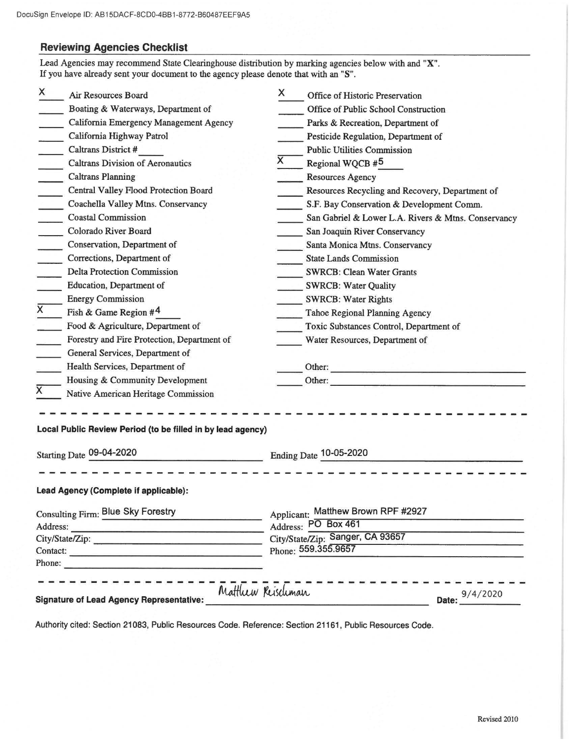## **Reviewing Agencies Checklist**

| X<br>Air Resources Board                                            | X.                | Office of Historic Preservation                                  |  |  |
|---------------------------------------------------------------------|-------------------|------------------------------------------------------------------|--|--|
| Boating & Waterways, Department of                                  |                   | Office of Public School Construction                             |  |  |
| California Emergency Management Agency                              |                   | Parks & Recreation, Department of                                |  |  |
| California Highway Patrol                                           |                   | Pesticide Regulation, Department of                              |  |  |
| <b>Caltrans District #</b>                                          |                   | <b>Public Utilities Commission</b>                               |  |  |
| <b>Caltrans Division of Aeronautics</b><br>$\overline{\phantom{a}}$ | X                 | Regional WQCB #5                                                 |  |  |
| <b>Caltrans Planning</b>                                            |                   | Resources Agency                                                 |  |  |
| Central Valley Flood Protection Board                               |                   | Resources Recycling and Recovery, Department of                  |  |  |
| Coachella Valley Mtns. Conservancy                                  |                   | S.F. Bay Conservation & Development Comm.                        |  |  |
| <b>Coastal Commission</b><br>$\sim 10^{-1}$                         |                   | San Gabriel & Lower L.A. Rivers & Mtns. Conservancy              |  |  |
| Colorado River Board                                                |                   | San Joaquin River Conservancy                                    |  |  |
| Conservation, Department of                                         |                   | Santa Monica Mtns. Conservancy                                   |  |  |
| Corrections, Department of                                          |                   | <b>State Lands Commission</b>                                    |  |  |
| <b>Delta Protection Commission</b>                                  |                   | <b>SWRCB: Clean Water Grants</b>                                 |  |  |
| Education, Department of                                            |                   | <b>SWRCB: Water Quality</b>                                      |  |  |
| <b>Energy Commission</b>                                            |                   | <b>SWRCB: Water Rights</b>                                       |  |  |
| $\overline{x}$<br>Fish & Game Region $#4$                           |                   | Tahoe Regional Planning Agency                                   |  |  |
| Food & Agriculture, Department of                                   |                   | Toxic Substances Control, Department of                          |  |  |
| Forestry and Fire Protection, Department of                         |                   | Water Resources, Department of                                   |  |  |
| General Services, Department of                                     |                   |                                                                  |  |  |
| Health Services, Department of                                      |                   | Other:<br><u> Dans Andrew Production and Dans Andrew Product</u> |  |  |
| Housing & Community Development                                     |                   | Other:                                                           |  |  |
| Native American Heritage Commission                                 |                   |                                                                  |  |  |
| Local Public Review Period (to be filled in by lead agency)         |                   |                                                                  |  |  |
|                                                                     |                   |                                                                  |  |  |
| Starting Date 09-04-2020                                            |                   | Ending Date 10-05-2020                                           |  |  |
| Lead Agency (Complete if applicable):                               |                   |                                                                  |  |  |
|                                                                     |                   |                                                                  |  |  |
| <b>Consulting Firm: Blue Sky Forestry</b>                           |                   | Applicant: Matthew Brown RPF #2927                               |  |  |
|                                                                     |                   | Address: PO Box 461                                              |  |  |
| City/State/Zip:                                                     |                   | City/State/Zip: Sanger, CA 93657                                 |  |  |
| Contact:                                                            |                   | Phone: 559.355.9657                                              |  |  |
| Phone:                                                              |                   |                                                                  |  |  |
|                                                                     | Matthew Reischman | - - - - - - - - - - - -<br>Date: 9/4/2020                        |  |  |
|                                                                     |                   |                                                                  |  |  |

Authority cited: Section 21083, Public Resources Code. Reference: Section 21161, Public Resources Code.